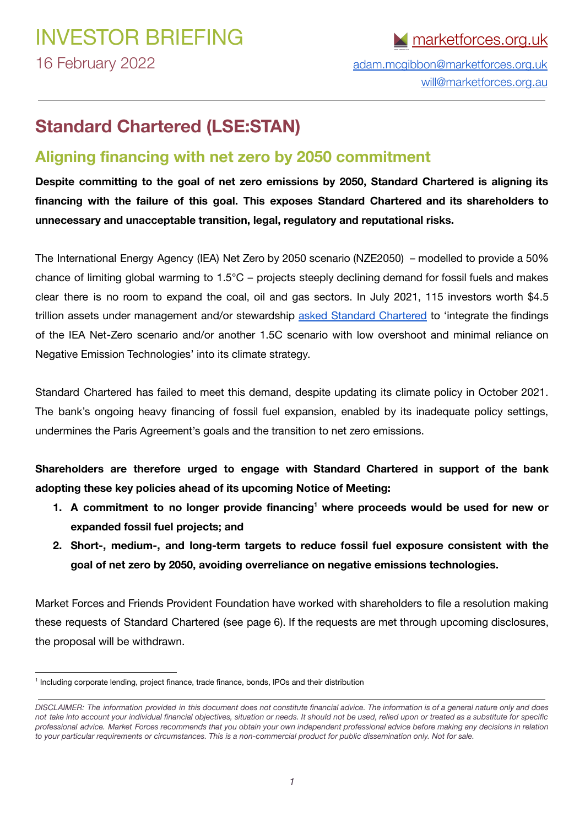[will@marketforces.org.au](mailto:will@marketforces.org.au)

### **Standard Chartered (LSE:STAN)**

#### **Aligning financing with net zero by 2050 commitment**

**Despite committing to the goal of net zero emissions by 2050, Standard Chartered is aligning its financing with the failure of this goal. This exposes Standard Chartered and its shareholders to unnecessary and unacceptable transition, legal, regulatory and reputational risks.**

The International Energy Agency (IEA) Net Zero by 2050 scenario (NZE2050) – modelled to provide a 50% chance of limiting global warming to 1.5°C – projects steeply declining demand for fossil fuels and makes clear there is no room to expand the coal, oil and gas sectors. In July 2021, 115 investors worth \$4.5 trillion assets under management and/or stewardship asked Standard [Chartered](https://shareaction.org/news/investors-call-on-banks-to-strengthen-climate-ambitions-before-cop26) to 'integrate the findings of the IEA Net-Zero scenario and/or another 1.5C scenario with low overshoot and minimal reliance on Negative Emission Technologies' into its climate strategy.

Standard Chartered has failed to meet this demand, despite updating its climate policy in October 2021. The bank's ongoing heavy financing of fossil fuel expansion, enabled by its inadequate policy settings, undermines the Paris Agreement's goals and the transition to net zero emissions.

**Shareholders are therefore urged to engage with Standard Chartered in support of the bank adopting these key policies ahead of its upcoming Notice of Meeting:**

- **1. A commitment to no longer provide financing where proceeds would be used for new or 1 expanded fossil fuel projects; and**
- **2. Short-, medium-, and long-term targets to reduce fossil fuel exposure consistent with the goal of net zero by 2050, avoiding overreliance on negative emissions technologies.**

Market Forces and Friends Provident Foundation have worked with shareholders to file a resolution making these requests of Standard Chartered (see page 6). If the requests are met through upcoming disclosures, the proposal will be withdrawn.

<sup>1</sup> Including corporate lending, project finance, trade finance, bonds, IPOs and their distribution

DISCLAIMER: The information provided in this document does not constitute financial advice. The information is of a general nature only and does not take into account your individual financial objectives, situation or needs. It should not be used, relied upon or treated as a substitute for specific professional advice. Market Forces recommends that you obtain your own independent professional advice before making any decisions in relation to your particular requirements or circumstances. This is a non-commercial product for public dissemination only. Not for sale.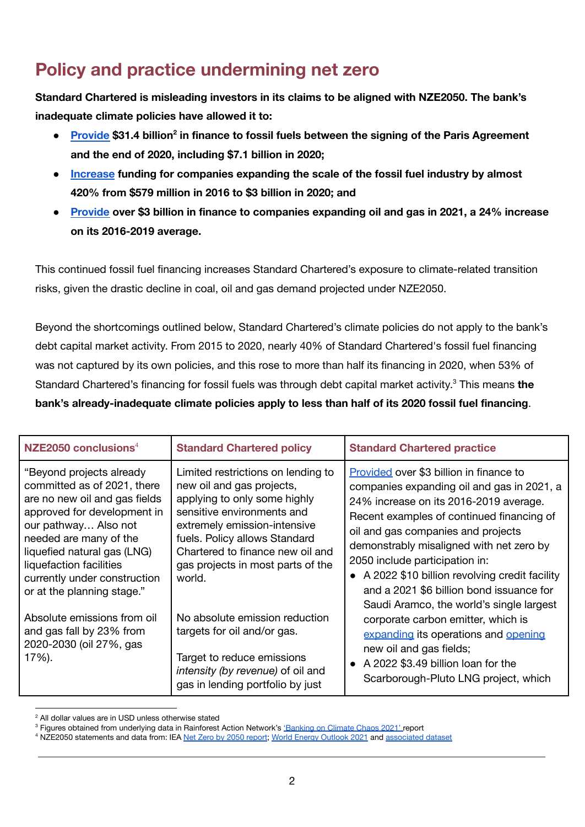# **Policy and practice undermining net zero**

**Standard Chartered is misleading investors in its claims to be aligned with NZE2050. The bank's inadequate climate policies have allowed it to:**

- **8** [Provide](https://www.ran.org/bankingonclimatechaos2021/) \$31.4 billion<sup>2</sup> in finance to fossil fuels between the signing of the Paris Agreement **and the end of 2020, including \$7.1 billion in 2020;**
- **● [Increase](https://www.ran.org/wp-content/uploads/2021/03/Banking-on-Climate-Chaos-2021.pdf) funding for companies expanding the scale of the fossil fuel industry by almost 420% from \$579 million in 2016 to \$3 billion in 2020; and**
- **● [Provide](https://api.shareaction.org/resources/reports/Oil-Gas-Expansion-lose-lose.pdf) over \$3 billion in finance to companies expanding oil and gas in 2021, a 24% increase on its 2016-2019 average.**

This continued fossil fuel financing increases Standard Chartered's exposure to climate-related transition risks, given the drastic decline in coal, oil and gas demand projected under NZE2050.

Beyond the shortcomings outlined below, Standard Chartered's climate policies do not apply to the bank's debt capital market activity. From 2015 to 2020, nearly 40% of Standard Chartered's fossil fuel financing was not captured by its own policies, and this rose to more than half its financing in 2020, when 53% of Standard Chartered's financing for fossil fuels was through debt capital market activity.<sup>3</sup> This means **the bank's already-inadequate climate policies apply to less than half of its 2020 fossil fuel financing**.

| NZE2050 conclusions $4$                                                                                                                                                                                                                                                                           | <b>Standard Chartered policy</b>                                                                                                                                                                                                                                                  | <b>Standard Chartered practice</b>                                                                                                                                                                                                                                                                                                                                                                                                                                                                                                                                                                                                   |
|---------------------------------------------------------------------------------------------------------------------------------------------------------------------------------------------------------------------------------------------------------------------------------------------------|-----------------------------------------------------------------------------------------------------------------------------------------------------------------------------------------------------------------------------------------------------------------------------------|--------------------------------------------------------------------------------------------------------------------------------------------------------------------------------------------------------------------------------------------------------------------------------------------------------------------------------------------------------------------------------------------------------------------------------------------------------------------------------------------------------------------------------------------------------------------------------------------------------------------------------------|
| "Beyond projects already<br>committed as of 2021, there<br>are no new oil and gas fields<br>approved for development in<br>our pathway Also not<br>needed are many of the<br>liquefied natural gas (LNG)<br>liquefaction facilities<br>currently under construction<br>or at the planning stage." | Limited restrictions on lending to<br>new oil and gas projects,<br>applying to only some highly<br>sensitive environments and<br>extremely emission-intensive<br>fuels. Policy allows Standard<br>Chartered to finance new oil and<br>gas projects in most parts of the<br>world. | Provided over \$3 billion in finance to<br>companies expanding oil and gas in 2021, a<br>24% increase on its 2016-2019 average.<br>Recent examples of continued financing of<br>oil and gas companies and projects<br>demonstrably misaligned with net zero by<br>2050 include participation in:<br>• A 2022 \$10 billion revolving credit facility<br>and a 2021 \$6 billion bond issuance for<br>Saudi Aramco, the world's single largest<br>corporate carbon emitter, which is<br>expanding its operations and opening<br>new oil and gas fields;<br>• A 2022 \$3.49 billion loan for the<br>Scarborough-Pluto LNG project, which |
| Absolute emissions from oil<br>and gas fall by 23% from<br>2020-2030 (oil 27%, gas<br>17%).                                                                                                                                                                                                       | No absolute emission reduction<br>targets for oil and/or gas.<br>Target to reduce emissions<br>intensity (by revenue) of oil and<br>gas in lending portfolio by just                                                                                                              |                                                                                                                                                                                                                                                                                                                                                                                                                                                                                                                                                                                                                                      |

<sup>2</sup> All dollar values are in USD unless otherwise stated

<sup>&</sup>lt;sup>3</sup> Figures obtained from underlying data in Rainforest Action Network's ['Banking](https://www.ran.org/wp-content/uploads/2021/03/Banking-on-Climate-Chaos-2021.pdf) on Climate Chaos 2021' report

<sup>&</sup>lt;sup>4</sup> NZE2050 statements and data from: IEA Net Zero by 2050 [report](https://www.iea.org/reports/net-zero-by-2050); World Energy [Outlook](https://prod.iea.org/reports/world-energy-outlook-2021) 2021 and [associated](https://www.iea.org/data-and-statistics/data-product/world-energy-outlook-2021-free-dataset) dataset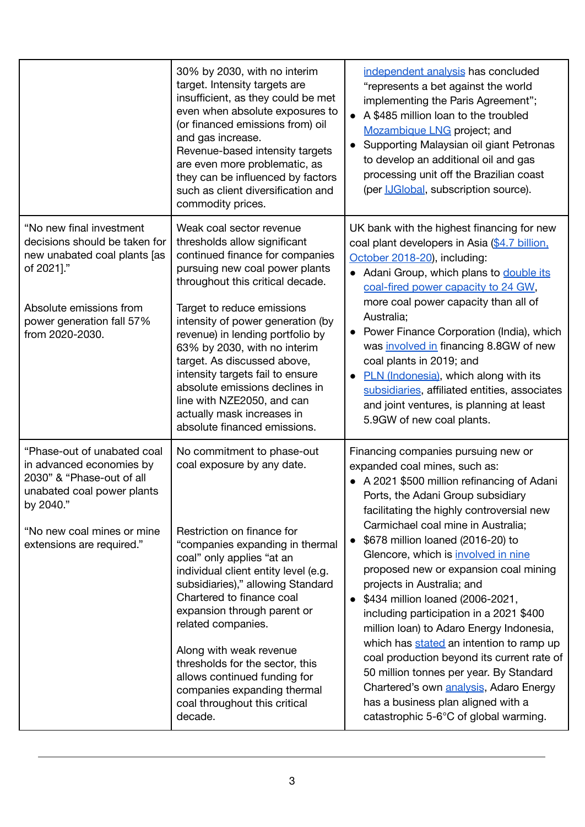|                                                                                                                                                                                            | 30% by 2030, with no interim<br>target. Intensity targets are<br>insufficient, as they could be met<br>even when absolute exposures to<br>(or financed emissions from) oil<br>and gas increase.<br>Revenue-based intensity targets<br>are even more problematic, as<br>they can be influenced by factors<br>such as client diversification and<br>commodity prices.                                                                                                                                       | independent analysis has concluded<br>"represents a bet against the world<br>implementing the Paris Agreement";<br>A \$485 million loan to the troubled<br>Mozambique LNG project; and<br>Supporting Malaysian oil giant Petronas<br>to develop an additional oil and gas<br>processing unit off the Brazilian coast<br>(per <i>IJGlobal</i> , subscription source).                                                                                                                                                                                                                                                                                                                                                                                                                                              |
|--------------------------------------------------------------------------------------------------------------------------------------------------------------------------------------------|-----------------------------------------------------------------------------------------------------------------------------------------------------------------------------------------------------------------------------------------------------------------------------------------------------------------------------------------------------------------------------------------------------------------------------------------------------------------------------------------------------------|-------------------------------------------------------------------------------------------------------------------------------------------------------------------------------------------------------------------------------------------------------------------------------------------------------------------------------------------------------------------------------------------------------------------------------------------------------------------------------------------------------------------------------------------------------------------------------------------------------------------------------------------------------------------------------------------------------------------------------------------------------------------------------------------------------------------|
| "No new final investment<br>decisions should be taken for<br>new unabated coal plants [as<br>of 2021]."<br>Absolute emissions from<br>power generation fall 57%<br>from 2020-2030.         | Weak coal sector revenue<br>thresholds allow significant<br>continued finance for companies<br>pursuing new coal power plants<br>throughout this critical decade.<br>Target to reduce emissions<br>intensity of power generation (by<br>revenue) in lending portfolio by<br>63% by 2030, with no interim<br>target. As discussed above,<br>intensity targets fail to ensure<br>absolute emissions declines in<br>line with NZE2050, and can<br>actually mask increases in<br>absolute financed emissions. | UK bank with the highest financing for new<br>coal plant developers in Asia (\$4.7 billion,<br>October 2018-20), including:<br>• Adani Group, which plans to double its<br>coal-fired power capacity to 24 GW,<br>more coal power capacity than all of<br>Australia;<br>Power Finance Corporation (India), which<br>was involved in financing 8.8GW of new<br>coal plants in 2019; and<br>PLN (Indonesia), which along with its<br>subsidiaries, affiliated entities, associates<br>and joint ventures, is planning at least<br>5.9GW of new coal plants.                                                                                                                                                                                                                                                         |
| "Phase-out of unabated coal<br>in advanced economies by<br>2030" & "Phase-out of all<br>unabated coal power plants<br>by 2040."<br>"No new coal mines or mine<br>extensions are required." | No commitment to phase-out<br>coal exposure by any date.<br>Restriction on finance for<br>"companies expanding in thermal<br>coal" only applies "at an<br>individual client entity level (e.g.<br>subsidiaries)," allowing Standard<br>Chartered to finance coal<br>expansion through parent or<br>related companies.<br>Along with weak revenue<br>thresholds for the sector, this<br>allows continued funding for<br>companies expanding thermal<br>coal throughout this critical<br>decade.            | Financing companies pursuing new or<br>expanded coal mines, such as:<br>• A 2021 \$500 million refinancing of Adani<br>Ports, the Adani Group subsidiary<br>facilitating the highly controversial new<br>Carmichael coal mine in Australia;<br>\$678 million loaned (2016-20) to<br>$\bullet$<br>Glencore, which is involved in nine<br>proposed new or expansion coal mining<br>projects in Australia; and<br>\$434 million loaned (2006-2021,<br>$\bullet$<br>including participation in a 2021 \$400<br>million loan) to Adaro Energy Indonesia,<br>which has stated an intention to ramp up<br>coal production beyond its current rate of<br>50 million tonnes per year. By Standard<br>Chartered's own analysis, Adaro Energy<br>has a business plan aligned with a<br>catastrophic 5-6°C of global warming. |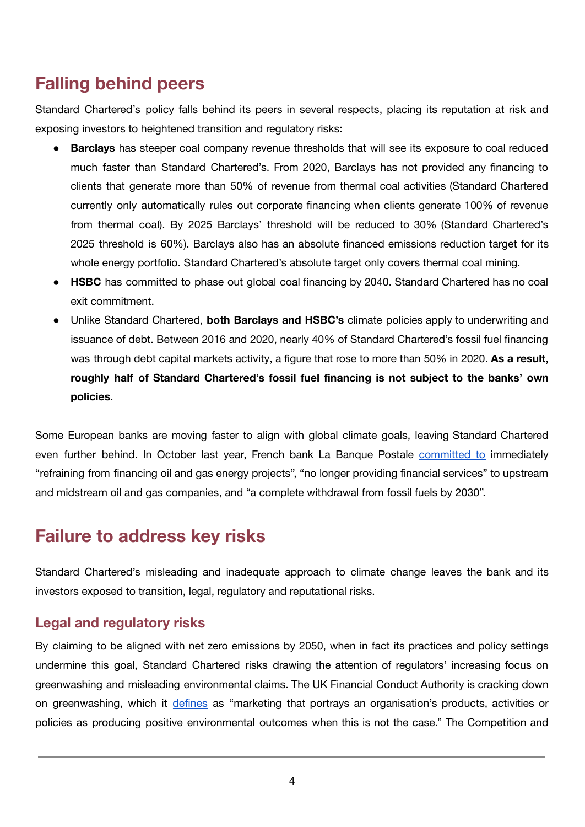# **Falling behind peers**

Standard Chartered's policy falls behind its peers in several respects, placing its reputation at risk and exposing investors to heightened transition and regulatory risks:

- **Barclays** has steeper coal company revenue thresholds that will see its exposure to coal reduced much faster than Standard Chartered's. From 2020, Barclays has not provided any financing to clients that generate more than 50% of revenue from thermal coal activities (Standard Chartered currently only automatically rules out corporate financing when clients generate 100% of revenue from thermal coal). By 2025 Barclays' threshold will be reduced to 30% (Standard Chartered's 2025 threshold is 60%). Barclays also has an absolute financed emissions reduction target for its whole energy portfolio. Standard Chartered's absolute target only covers thermal coal mining.
- **HSBC** has committed to phase out global coal financing by 2040. Standard Chartered has no coal exit commitment.
- Unlike Standard Chartered, **both Barclays and HSBC's** climate policies apply to underwriting and issuance of debt. Between 2016 and 2020, nearly 40% of Standard Chartered's fossil fuel financing was through debt capital markets activity, a figure that rose to more than 50% in 2020. **As a result, roughly half of Standard Chartered's fossil fuel financing is not subject to the banks' own policies**.

Some European banks are moving faster to align with global climate goals, leaving Standard Chartered even further behind. In October last year, French bank La Banque Postale [committed](https://www.labanquepostale.com/content/dam/lbp/documents/communiques-de-presse/en/2021/cp-en-lbp-sbti-oil-gaz.pdf) to immediately "refraining from financing oil and gas energy projects", "no longer providing financial services" to upstream and midstream oil and gas companies, and "a complete withdrawal from fossil fuels by 2030".

# **Failure to address key risks**

Standard Chartered's misleading and inadequate approach to climate change leaves the bank and its investors exposed to transition, legal, regulatory and reputational risks.

#### **Legal and regulatory risks**

By claiming to be aligned with net zero emissions by 2050, when in fact its practices and policy settings undermine this goal, Standard Chartered risks drawing the attention of regulators' increasing focus on greenwashing and misleading environmental claims. The UK Financial Conduct Authority is cracking down on greenwashing, which it [defines](https://www.fca.org.uk/publication/discussion/dp18-08.pdf) as "marketing that portrays an organisation's products, activities or policies as producing positive environmental outcomes when this is not the case." The Competition and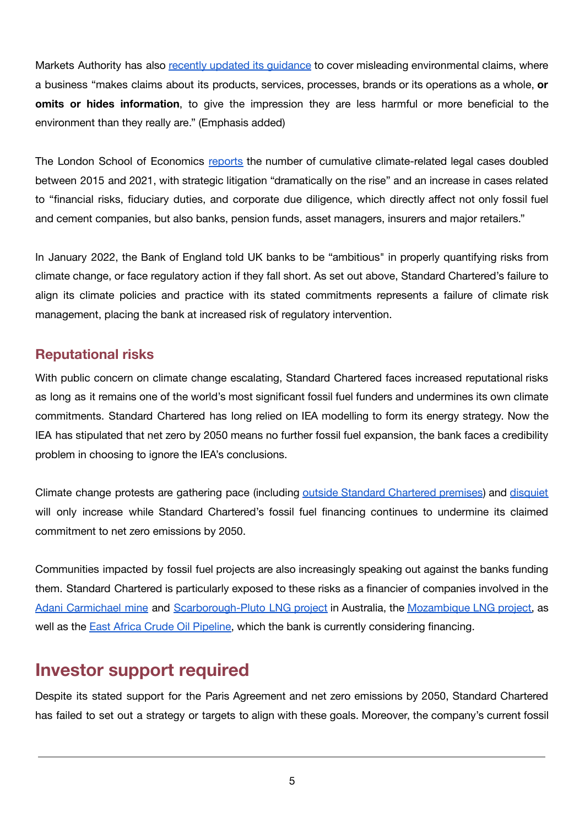Markets Authority has also recently updated its [guidance](https://www.gov.uk/government/publications/green-claims-code-making-environmental-claims/environmental-claims-on-goods-and-services) to cover misleading environmental claims, where a business "makes claims about its products, services, processes, brands or its operations as a whole, **or omits or hides information**, to give the impression they are less harmful or more beneficial to the environment than they really are." (Emphasis added)

The London School of Economics [reports](https://www.lse.ac.uk/granthaminstitute/wp-content/uploads/2021/07/Global-trends-in-climate-change-litigation_2021-snapshot.pdf) the number of cumulative climate-related legal cases doubled between 2015 and 2021, with strategic litigation "dramatically on the rise" and an increase in cases related to "financial risks, fiduciary duties, and corporate due diligence, which directly affect not only fossil fuel and cement companies, but also banks, pension funds, asset managers, insurers and major retailers."

In January 2022, the Bank of England told UK banks to be "ambitious" in properly quantifying risks from climate change, or face regulatory action if they fall short. As set out above, Standard Chartered's failure to align its climate policies and practice with its stated commitments represents a failure of climate risk management, placing the bank at increased risk of regulatory intervention.

#### **Reputational risks**

With public concern on climate change escalating, Standard Chartered faces increased reputational risks as long as it remains one of the world's most significant fossil fuel funders and undermines its own climate commitments. Standard Chartered has long relied on IEA modelling to form its energy strategy. Now the IEA has stipulated that net zero by 2050 means no further fossil fuel expansion, the bank faces a credibility problem in choosing to ignore the IEA's conclusions.

Climate change protests are gathering pace (including outside Standard [Chartered](https://www.standard.co.uk/news/london/extinction-rebellion-xr-blood-march-london-bank-of-england-b952659.html) premises) and [disquiet](https://www.ft.com/content/7e6926a1-ba67-4f8e-912e-f10567ed510b) will only increase while Standard Chartered's fossil fuel financing continues to undermine its claimed commitment to net zero emissions by 2050.

Communities impacted by fossil fuel projects are also increasingly speaking out against the banks funding them. Standard Chartered is particularly exposed to these risks as a financier of companies involved in the Adani [Carmichael](https://www.stopadani.com/) mine and [Scarborough-Pluto](https://saynotoscarborough.com.au/) LNG project in Australia, the [Mozambique](https://www.theguardian.com/global-development/2021/apr/15/uk-support-mozambique-gas-project-cabo-delgado-fuelling-isis-conflict-foe) LNG project, as well as the East Africa Crude Oil [Pipeline,](https://www.stopeacop.net/) which the bank is currently considering financing.

### **Investor support required**

Despite its stated support for the Paris Agreement and net zero emissions by 2050, Standard Chartered has failed to set out a strategy or targets to align with these goals. Moreover, the company's current fossil